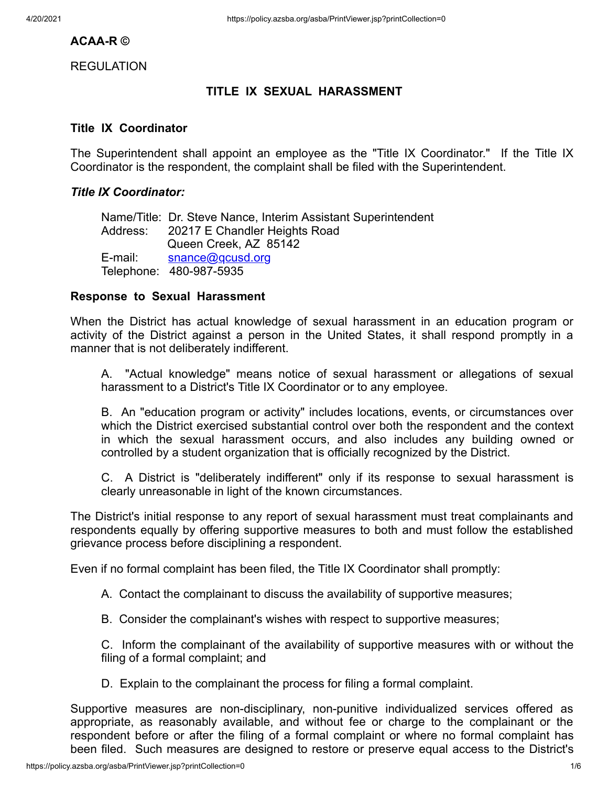## **ACAA-R ©**

REGULATION

# **TITLE IX SEXUAL HARASSMENT**

### **Title IX Coordinator**

The Superintendent shall appoint an employee as the "Title IX Coordinator." If the Title IX Coordinator is the respondent, the complaint shall be filed with the Superintendent.

### *Title IX Coordinator:*

Name/Title: Dr. Steve Nance, Interim Assistant Superintendent Address: 20217 E Chandler Heights Road Queen Creek, AZ 85142 E-mail: snance@gcusd.org Telephone: 480-987-5935

#### **Response to Sexual Harassment**

When the District has actual knowledge of sexual harassment in an education program or activity of the District against a person in the United States, it shall respond promptly in a manner that is not deliberately indifferent.

A. "Actual knowledge" means notice of sexual harassment or allegations of sexual harassment to a District's Title IX Coordinator or to any employee.

B. An "education program or activity" includes locations, events, or circumstances over which the District exercised substantial control over both the respondent and the context in which the sexual harassment occurs, and also includes any building owned or controlled by a student organization that is officially recognized by the District.

C. A District is "deliberately indifferent" only if its response to sexual harassment is clearly unreasonable in light of the known circumstances.

The District's initial response to any report of sexual harassment must treat complainants and respondents equally by offering supportive measures to both and must follow the established grievance process before disciplining a respondent.

Even if no formal complaint has been filed, the Title IX Coordinator shall promptly:

A. Contact the complainant to discuss the availability of supportive measures;

B. Consider the complainant's wishes with respect to supportive measures;

 C. Inform the complainant of the availability of supportive measures with or without the filing of a formal complaint; and

D. Explain to the complainant the process for filing a formal complaint.

Supportive measures are non-disciplinary, non-punitive individualized services offered as appropriate, as reasonably available, and without fee or charge to the complainant or the respondent before or after the filing of a formal complaint or where no formal complaint has been filed. Such measures are designed to restore or preserve equal access to the District's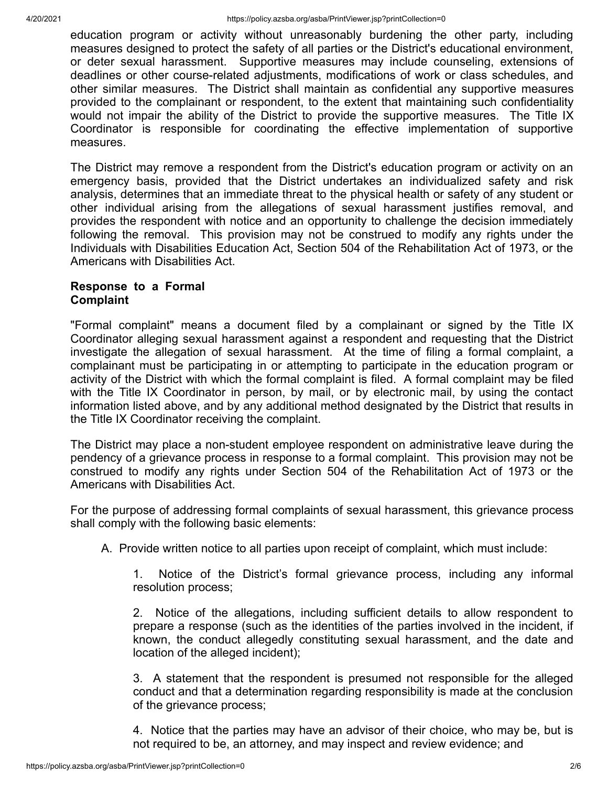education program or activity without unreasonably burdening the other party, including measures designed to protect the safety of all parties or the District's educational environment, or deter sexual harassment. Supportive measures may include counseling, extensions of deadlines or other course-related adjustments, modifications of work or class schedules, and other similar measures. The District shall maintain as confidential any supportive measures provided to the complainant or respondent, to the extent that maintaining such confidentiality would not impair the ability of the District to provide the supportive measures. The Title IX Coordinator is responsible for coordinating the effective implementation of supportive measures.

The District may remove a respondent from the District's education program or activity on an emergency basis, provided that the District undertakes an individualized safety and risk analysis, determines that an immediate threat to the physical health or safety of any student or other individual arising from the allegations of sexual harassment justifies removal, and provides the respondent with notice and an opportunity to challenge the decision immediately following the removal. This provision may not be construed to modify any rights under the Individuals with Disabilities Education Act, Section 504 of the Rehabilitation Act of 1973, or the Americans with Disabilities Act.

### **Response to a Formal Complaint**

"Formal complaint" means a document filed by a complainant or signed by the Title IX Coordinator alleging sexual harassment against a respondent and requesting that the District investigate the allegation of sexual harassment. At the time of filing a formal complaint, a complainant must be participating in or attempting to participate in the education program or activity of the District with which the formal complaint is filed. A formal complaint may be filed with the Title IX Coordinator in person, by mail, or by electronic mail, by using the contact information listed above, and by any additional method designated by the District that results in the Title IX Coordinator receiving the complaint.

The District may place a non-student employee respondent on administrative leave during the pendency of a grievance process in response to a formal complaint. This provision may not be construed to modify any rights under Section 504 of the Rehabilitation Act of 1973 or the Americans with Disabilities Act.

For the purpose of addressing formal complaints of sexual harassment, this grievance process shall comply with the following basic elements:

A. Provide written notice to all parties upon receipt of complaint, which must include:

1. Notice of the District's formal grievance process, including any informal resolution process;

2. Notice of the allegations, including sufficient details to allow respondent to prepare a response (such as the identities of the parties involved in the incident, if known, the conduct allegedly constituting sexual harassment, and the date and location of the alleged incident);

3. A statement that the respondent is presumed not responsible for the alleged conduct and that a determination regarding responsibility is made at the conclusion of the grievance process;

 4. Notice that the parties may have an advisor of their choice, who may be, but is not required to be, an attorney, and may inspect and review evidence; and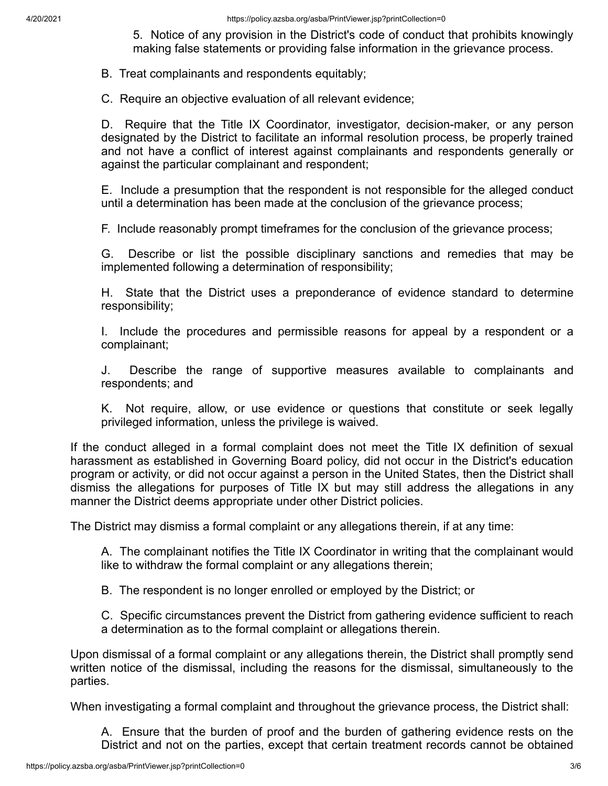5. Notice of any provision in the District's code of conduct that prohibits knowingly making false statements or providing false information in the grievance process.

B. Treat complainants and respondents equitably;

C. Require an objective evaluation of all relevant evidence;

D. Require that the Title IX Coordinator, investigator, decision-maker, or any person designated by the District to facilitate an informal resolution process, be properly trained and not have a conflict of interest against complainants and respondents generally or against the particular complainant and respondent;

E. Include a presumption that the respondent is not responsible for the alleged conduct until a determination has been made at the conclusion of the grievance process;

F. Include reasonably prompt timeframes for the conclusion of the grievance process;

G. Describe or list the possible disciplinary sanctions and remedies that may be implemented following a determination of responsibility;

H. State that the District uses a preponderance of evidence standard to determine responsibility;

I. Include the procedures and permissible reasons for appeal by a respondent or a complainant;

J. Describe the range of supportive measures available to complainants and respondents; and

K. Not require, allow, or use evidence or questions that constitute or seek legally privileged information, unless the privilege is waived.

If the conduct alleged in a formal complaint does not meet the Title IX definition of sexual harassment as established in Governing Board policy, did not occur in the District's education program or activity, or did not occur against a person in the United States, then the District shall dismiss the allegations for purposes of Title IX but may still address the allegations in any manner the District deems appropriate under other District policies.

The District may dismiss a formal complaint or any allegations therein, if at any time:

A. The complainant notifies the Title IX Coordinator in writing that the complainant would like to withdraw the formal complaint or any allegations therein;

B. The respondent is no longer enrolled or employed by the District; or

C. Specific circumstances prevent the District from gathering evidence sufficient to reach a determination as to the formal complaint or allegations therein.

Upon dismissal of a formal complaint or any allegations therein, the District shall promptly send written notice of the dismissal, including the reasons for the dismissal, simultaneously to the parties.

When investigating a formal complaint and throughout the grievance process, the District shall:

A. Ensure that the burden of proof and the burden of gathering evidence rests on the District and not on the parties, except that certain treatment records cannot be obtained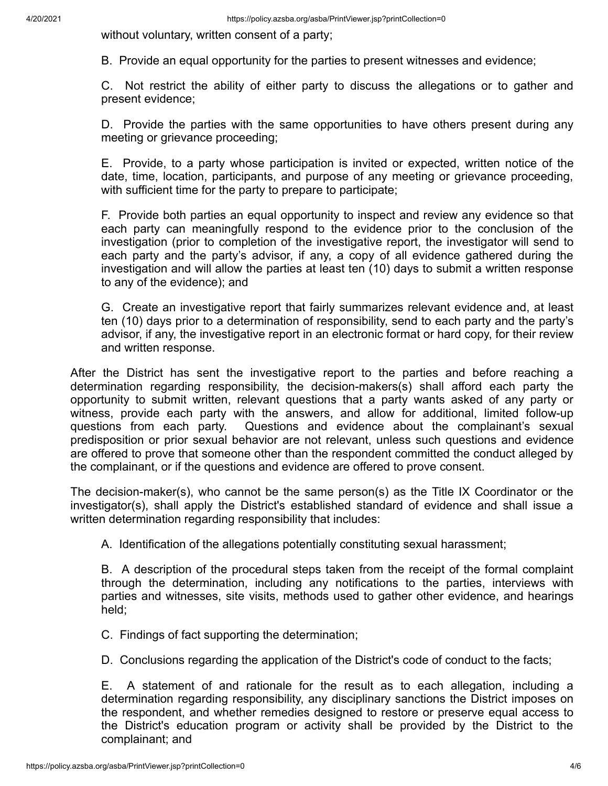without voluntary, written consent of a party;

B. Provide an equal opportunity for the parties to present witnesses and evidence;

C. Not restrict the ability of either party to discuss the allegations or to gather and present evidence;

D. Provide the parties with the same opportunities to have others present during any meeting or grievance proceeding;

E. Provide, to a party whose participation is invited or expected, written notice of the date, time, location, participants, and purpose of any meeting or grievance proceeding, with sufficient time for the party to prepare to participate;

F. Provide both parties an equal opportunity to inspect and review any evidence so that each party can meaningfully respond to the evidence prior to the conclusion of the investigation (prior to completion of the investigative report, the investigator will send to each party and the party's advisor, if any, a copy of all evidence gathered during the investigation and will allow the parties at least ten (10) days to submit a written response to any of the evidence); and

G. Create an investigative report that fairly summarizes relevant evidence and, at least ten (10) days prior to a determination of responsibility, send to each party and the party's advisor, if any, the investigative report in an electronic format or hard copy, for their review and written response.

After the District has sent the investigative report to the parties and before reaching a determination regarding responsibility, the decision-makers(s) shall afford each party the opportunity to submit written, relevant questions that a party wants asked of any party or witness, provide each party with the answers, and allow for additional, limited follow-up questions from each party. Questions and evidence about the complainant's sexual predisposition or prior sexual behavior are not relevant, unless such questions and evidence are offered to prove that someone other than the respondent committed the conduct alleged by the complainant, or if the questions and evidence are offered to prove consent.

The decision-maker(s), who cannot be the same person(s) as the Title IX Coordinator or the investigator(s), shall apply the District's established standard of evidence and shall issue a written determination regarding responsibility that includes:

A. Identification of the allegations potentially constituting sexual harassment;

B. A description of the procedural steps taken from the receipt of the formal complaint through the determination, including any notifications to the parties, interviews with parties and witnesses, site visits, methods used to gather other evidence, and hearings held;

- C. Findings of fact supporting the determination;
- D. Conclusions regarding the application of the District's code of conduct to the facts;

E. A statement of and rationale for the result as to each allegation, including a determination regarding responsibility, any disciplinary sanctions the District imposes on the respondent, and whether remedies designed to restore or preserve equal access to the District's education program or activity shall be provided by the District to the complainant; and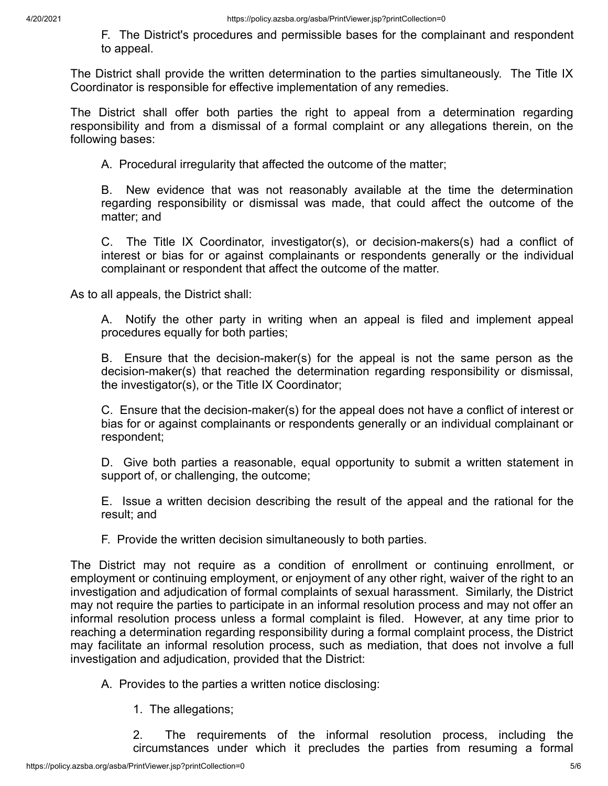F. The District's procedures and permissible bases for the complainant and respondent to appeal.

The District shall provide the written determination to the parties simultaneously. The Title IX Coordinator is responsible for effective implementation of any remedies.

The District shall offer both parties the right to appeal from a determination regarding responsibility and from a dismissal of a formal complaint or any allegations therein, on the following bases:

A. Procedural irregularity that affected the outcome of the matter;

B. New evidence that was not reasonably available at the time the determination regarding responsibility or dismissal was made, that could affect the outcome of the matter; and

C. The Title IX Coordinator, investigator(s), or decision-makers(s) had a conflict of interest or bias for or against complainants or respondents generally or the individual complainant or respondent that affect the outcome of the matter.

As to all appeals, the District shall:

A. Notify the other party in writing when an appeal is filed and implement appeal procedures equally for both parties;

B. Ensure that the decision-maker(s) for the appeal is not the same person as the decision-maker(s) that reached the determination regarding responsibility or dismissal, the investigator(s), or the Title IX Coordinator;

C. Ensure that the decision-maker(s) for the appeal does not have a conflict of interest or bias for or against complainants or respondents generally or an individual complainant or respondent;

D. Give both parties a reasonable, equal opportunity to submit a written statement in support of, or challenging, the outcome;

E. Issue a written decision describing the result of the appeal and the rational for the result; and

F. Provide the written decision simultaneously to both parties.

The District may not require as a condition of enrollment or continuing enrollment, or employment or continuing employment, or enjoyment of any other right, waiver of the right to an investigation and adjudication of formal complaints of sexual harassment. Similarly, the District may not require the parties to participate in an informal resolution process and may not offer an informal resolution process unless a formal complaint is filed. However, at any time prior to reaching a determination regarding responsibility during a formal complaint process, the District may facilitate an informal resolution process, such as mediation, that does not involve a full investigation and adjudication, provided that the District:

A. Provides to the parties a written notice disclosing:

1. The allegations;

2. The requirements of the informal resolution process, including the circumstances under which it precludes the parties from resuming a formal